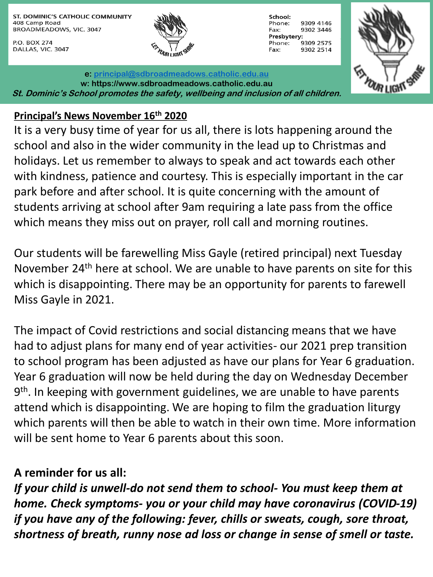ST. DOMINIC'S CATHOLIC COMMUNITY 408 Camp Road BROADMEADOWS, VIC. 3047

P.O. BOX 274 DALLAS, VIC. 3047



School: Phone: 9309 4146 9302 3446 Fax: Presbytery: 9309 2575 Phone: Fax: 9302 2514



**e: [principal@sdbroadmeadows.catholic.edu.au](mailto:principal@sdbroadmeadows.catholic.edu.au) w: https://www.sdbroadmeadows.catholic.edu.au St. Dominic's School promotes the safety, wellbeing and inclusion of all children.**

#### **Principal's News November 16th 2020**

It is a very busy time of year for us all, there is lots happening around the school and also in the wider community in the lead up to Christmas and holidays. Let us remember to always to speak and act towards each other with kindness, patience and courtesy. This is especially important in the car park before and after school. It is quite concerning with the amount of students arriving at school after 9am requiring a late pass from the office which means they miss out on prayer, roll call and morning routines.

Our students will be farewelling Miss Gayle (retired principal) next Tuesday November 24th here at school. We are unable to have parents on site for this which is disappointing. There may be an opportunity for parents to farewell Miss Gayle in 2021.

The impact of Covid restrictions and social distancing means that we have had to adjust plans for many end of year activities- our 2021 prep transition to school program has been adjusted as have our plans for Year 6 graduation. Year 6 graduation will now be held during the day on Wednesday December 9<sup>th</sup>. In keeping with government guidelines, we are unable to have parents attend which is disappointing. We are hoping to film the graduation liturgy which parents will then be able to watch in their own time. More information will be sent home to Year 6 parents about this soon.

#### **A reminder for us all:**

*If your child is unwell-do not send them to school- You must keep them at home. Check symptoms- you or your child may have coronavirus (COVID-19) if you have any of the following: fever, chills or sweats, cough, sore throat, shortness of breath, runny nose ad loss or change in sense of smell or taste.*